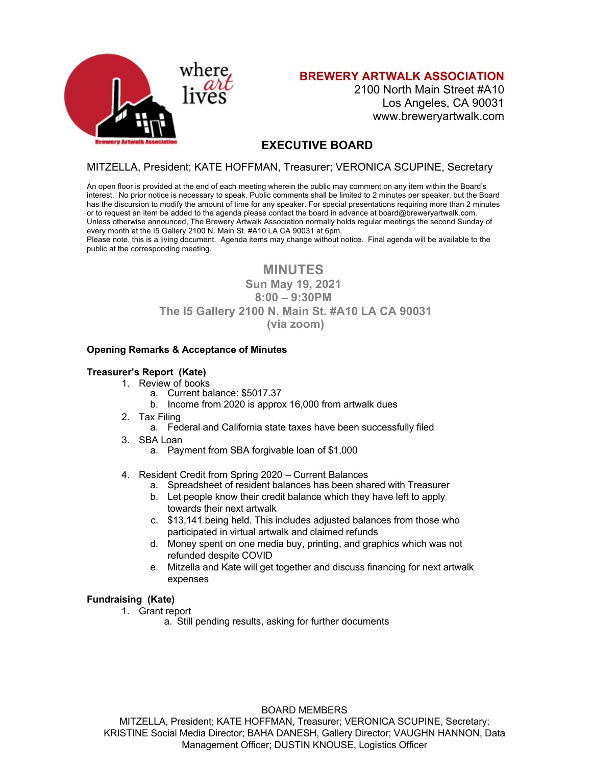

**BREWERY ARTWALK ASSOCIATION**

2100 North Main Street #A10 Los Angeles, CA 90031 www.breweryartwalk.com

# **EXECUTIVE BOARD**

## MITZELLA, President; KATE HOFFMAN, Treasurer; VERONICA SCUPINE, Secretary

An open floor is provided at the end of each meeting wherein the public may comment on any item within the Board's interest. No prior notice is necessary to speak. Public comments shall be limited to 2 minutes per speaker, but the Board has the discursion to modify the amount of time for any speaker. For special presentations requiring more than 2 minutes or to request an item be added to the agenda please contact the board in advance at board@breweryartwalk.com. Unless otherwise announced, The Brewery Artwalk Association normally holds regular meetings the second Sunday of every month at the I5 Gallery 2100 N. Main St. #A10 LA CA 90031 at 6pm.

Please note, this is a living document. Agenda items may change without notice. Final agenda will be available to the public at the corresponding meeting.

# **MINUTES**

## **Sun May 19, 2021 8:00 – 9:30PM The I5 Gallery 2100 N. Main St. #A10 LA CA 90031 (via zoom)**

#### **Opening Remarks & Acceptance of Minutes**

### **Treasurer's Report (Kate)**

- 1. Review of books
	- a. Current balance: \$5017.37
	- b. Income from 2020 is approx 16,000 from artwalk dues
- 2. Tax Filing
	- a. Federal and California state taxes have been successfully filed
- 3. SBA Loan
	- a. Payment from SBA forgivable loan of \$1,000
- 4. Resident Credit from Spring 2020 Current Balances
	- a. Spreadsheet of resident balances has been shared with Treasurer
	- b. Let people know their credit balance which they have left to apply towards their next artwalk
	- c. \$13,141 being held. This includes adjusted balances from those who participated in virtual artwalk and claimed refunds
	- d. Money spent on one media buy, printing, and graphics which was not refunded despite COVID
	- e. Mitzella and Kate will get together and discuss financing for next artwalk expenses

### **Fundraising (Kate)**

- 1. Grant report
	- a. Still pending results, asking for further documents

#### BOARD MEMBERS

MITZELLA, President; KATE HOFFMAN, Treasurer; VERONICA SCUPINE, Secretary; KRISTINE Social Media Director; BAHA DANESH, Gallery Director; VAUGHN HANNON, Data Management Officer; DUSTIN KNOUSE, Logistics Officer